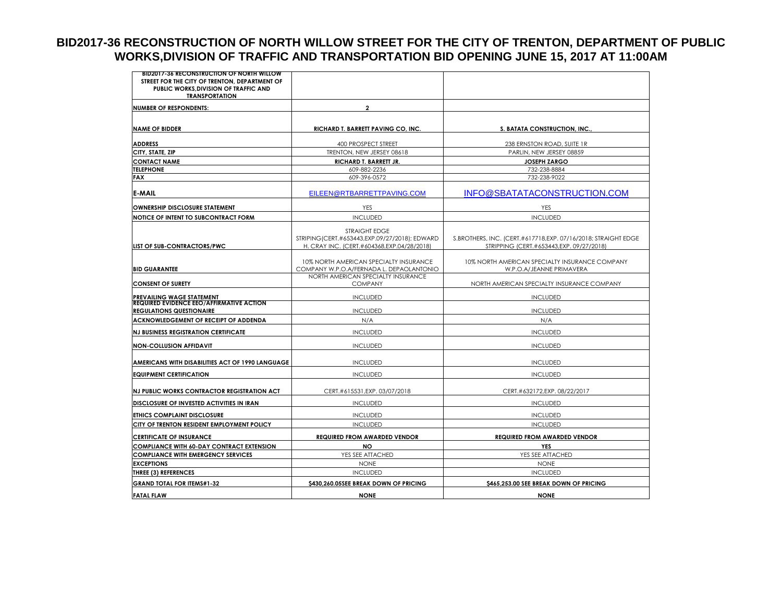## **BID2017-36 RECONSTRUCTION OF NORTH WILLOW STREET FOR THE CITY OF TRENTON, DEPARTMENT OF PUBLIC WORKS,DIVISION OF TRAFFIC AND TRANSPORTATION BID OPENING JUNE 15, 2017 AT 11:00AM**

| <b>BID2017-36 RECONSTRUCTION OF NORTH WILLOW</b>                                   |                                                                        |                                                               |  |
|------------------------------------------------------------------------------------|------------------------------------------------------------------------|---------------------------------------------------------------|--|
| STREET FOR THE CITY OF TRENTON, DEPARTMENT OF                                      |                                                                        |                                                               |  |
| PUBLIC WORKS, DIVISION OF TRAFFIC AND<br><b>TRANSPORTATION</b>                     |                                                                        |                                                               |  |
|                                                                                    |                                                                        |                                                               |  |
| <b>NUMBER OF RESPONDENTS:</b>                                                      | $\overline{a}$                                                         |                                                               |  |
|                                                                                    |                                                                        |                                                               |  |
| <b>NAME OF BIDDER</b>                                                              | <b>RICHARD T. BARRETT PAVING CO. INC.</b>                              | S. BATATA CONSTRUCTION, INC.                                  |  |
|                                                                                    |                                                                        |                                                               |  |
| <b>ADDRESS</b>                                                                     | 400 PROSPECT STREET                                                    | 238 ERNSTON ROAD, SUITE 1R                                    |  |
| CITY, STATE, ZIP                                                                   | TRENTON, NEW JERSEY 08618                                              | PARLIN, NEW JERSEY 08859                                      |  |
| <b>CONTACT NAME</b><br><b>TELEPHONE</b>                                            | RICHARD T. BARRETT JR.                                                 | <b>JOSEPH ZARGO</b>                                           |  |
| <b>FAX</b>                                                                         | 609-882-2236<br>609-396-0572                                           | 732-238-8884<br>732-238-9022                                  |  |
|                                                                                    |                                                                        |                                                               |  |
| E-MAIL                                                                             | EILEEN@RTBARRETTPAVING.COM                                             | INFO@SBATATACONSTRUCTION.COM                                  |  |
| <b>OWNERSHIP DISCLOSURE STATEMENT</b>                                              | YES                                                                    | YES                                                           |  |
| NOTICE OF INTENT TO SUBCONTRACT FORM                                               | <b>INCLUDED</b>                                                        | <b>INCLUDED</b>                                               |  |
|                                                                                    | <b>STRAIGHT FDGF</b><br>STRIPING (CERT.#653443,EXP.09/27/2018); EDWARD | S.BROTHERS, INC. (CERT.#617718,EXP. 07/16/2018; STRAIGHT EDGE |  |
| LIST OF SUB-CONTRACTORS/PWC                                                        | H. CRAY INC. (CERT.#604368,EXP.04/28/2018)                             | STRIPPING (CERT.#653443,EXP. 09/27/2018)                      |  |
|                                                                                    | 10% NORTH AMERICAN SPECIALTY INSURANCE                                 | 10% NORTH AMERICAN SPECIALTY INSURANCE COMPANY                |  |
| <b>BID GUARANTEE</b>                                                               | COMPANY W.P.O.A/FERNADA L. DEPAOLANTONIO                               | W.P.O.A/JEANNE PRIMAVERA                                      |  |
| <b>CONSENT OF SURETY</b>                                                           | NORTH AMERICAN SPECIALTY INSURANCE<br><b>COMPANY</b>                   | NORTH AMERICAN SPECIALTY INSURANCE COMPANY                    |  |
| PREVAILING WAGE STATEMENT                                                          | <b>INCLUDED</b>                                                        | <b>INCLUDED</b>                                               |  |
| <b>REQUIRED EVIDENCE EEO/AFFIRMATIVE ACTION</b><br><b>REGULATIONS QUESTIONAIRE</b> | <b>INCLUDED</b>                                                        | <b>INCLUDED</b>                                               |  |
|                                                                                    |                                                                        |                                                               |  |
| ACKNOWLEDGEMENT OF RECEIPT OF ADDENDA                                              | N/A                                                                    | N/A                                                           |  |
| <b>NJ BUSINESS REGISTRATION CERTIFICATE</b>                                        | <b>INCLUDED</b>                                                        | <b>INCLUDED</b>                                               |  |
| <b>NON-COLLUSION AFFIDAVIT</b>                                                     | <b>INCLUDED</b>                                                        | <b>INCLUDED</b>                                               |  |
| AMERICANS WITH DISABILITIES ACT OF 1990 LANGUAGE                                   | <b>INCLUDED</b>                                                        | <b>INCLUDED</b>                                               |  |
| <b>EQUIPMENT CERTIFICATION</b>                                                     | <b>INCLUDED</b>                                                        | <b>INCLUDED</b>                                               |  |
| NJ PUBLIC WORKS CONTRACTOR REGISTRATION ACT                                        | CERT.#615531, EXP. 03/07/2018                                          | CERT.#632172,EXP. 08/22/2017                                  |  |
| DISCLOSURE OF INVESTED ACTIVITIES IN IRAN                                          | <b>INCLUDED</b>                                                        | <b>INCLUDED</b>                                               |  |
| <b>ETHICS COMPLAINT DISCLOSURE</b>                                                 | <b>INCLUDED</b>                                                        | <b>INCLUDED</b>                                               |  |
| CITY OF TRENTON RESIDENT EMPLOYMENT POLICY                                         | <b>INCLUDED</b>                                                        | <b>INCLUDED</b>                                               |  |
| <b>CERTIFICATE OF INSURANCE</b>                                                    | <b>REQUIRED FROM AWARDED VENDOR</b>                                    | <b>REQUIRED FROM AWARDED VENDOR</b>                           |  |
| <b>COMPLIANCE WITH 60-DAY CONTRACT EXTENSION</b>                                   | <b>NO</b>                                                              | <b>YES</b>                                                    |  |
| <b>COMPLIANCE WITH EMERGENCY SERVICES</b>                                          | YES SEE ATTACHED                                                       | YES SEE ATTACHED                                              |  |
| <b>EXCEPTIONS</b>                                                                  | <b>NONE</b>                                                            | <b>NONE</b>                                                   |  |
| <b>THREE (3) REFERENCES</b>                                                        | <b>INCLUDED</b>                                                        | <b>INCLUDED</b>                                               |  |
| <b>GRAND TOTAL FOR ITEMS#1-32</b>                                                  | \$430,260.05SEE BREAK DOWN OF PRICING                                  | \$465,253.00 SEE BREAK DOWN OF PRICING                        |  |
| <b>FATAL FLAW</b>                                                                  | <b>NONE</b>                                                            | <b>NONE</b>                                                   |  |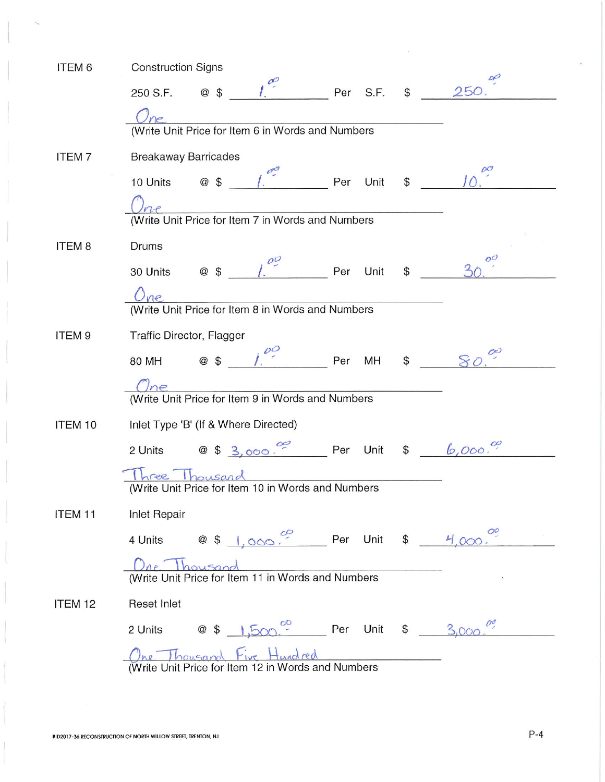| ITEM 6             | <b>Construction Signs</b>                                                              |       |
|--------------------|----------------------------------------------------------------------------------------|-------|
|                    | @ \$ $1^{00}$ Per S.F. \$ 250.<br>250 S.F.                                             |       |
|                    |                                                                                        |       |
|                    | Une<br>(Write Unit Price for Item 6 in Words and Numbers                               |       |
| <b>ITEM7</b>       | <b>Breakaway Barricades</b>                                                            |       |
|                    | 10 Units @ \$ 1. Per Unit \$ 10                                                        |       |
|                    |                                                                                        |       |
|                    | Une<br>(Write Unit Price for Item 7 in Words and Numbers                               |       |
| ITEM <sub>8</sub>  | Drums                                                                                  |       |
|                    | 30 Units @ $\frac{1}{2}$ $\frac{1}{2}$ Per Unit \$                                     | $O^O$ |
|                    | <u><i>One</i></u><br>(Write Unit Price for Item 8 in Words and Numbers                 |       |
|                    |                                                                                        |       |
| ITEM <sub>9</sub>  | Traffic Director, Flagger                                                              |       |
|                    | @ \$ $1.60$ Per MH \$<br>80 MH                                                         |       |
|                    |                                                                                        |       |
|                    | Une<br>(Write Unit Price for Item 9 in Words and Numbers                               |       |
| ITEM 10            | Inlet Type 'B' (If & Where Directed)                                                   |       |
|                    | 2 Units $\circledcirc$ \$ 3,000. Per Unit \$ 6,000.                                    |       |
|                    | Three Thousand<br>(Write Unit Price for Item 10 in Words and Numbers                   |       |
|                    |                                                                                        |       |
| ITEM <sub>11</sub> | <b>Inlet Repair</b>                                                                    |       |
|                    | 4 Units $\circledcirc$ \$ 1,000 Per Unit \$ $\frac{4}{1}$ Oc                           |       |
|                    | One Thousand<br>(Write Unit Price for Item 11 in Words and Numbers                     |       |
| ITEM <sub>12</sub> | <b>Reset Inlet</b>                                                                     |       |
|                    | 2 Units $\circledcirc$ \$ 1,500. Per Unit \$ 3,000                                     |       |
|                    | <u>One Thousand Five Hundred</u><br>(Write Unit Price for Item 12 in Words and Numbers |       |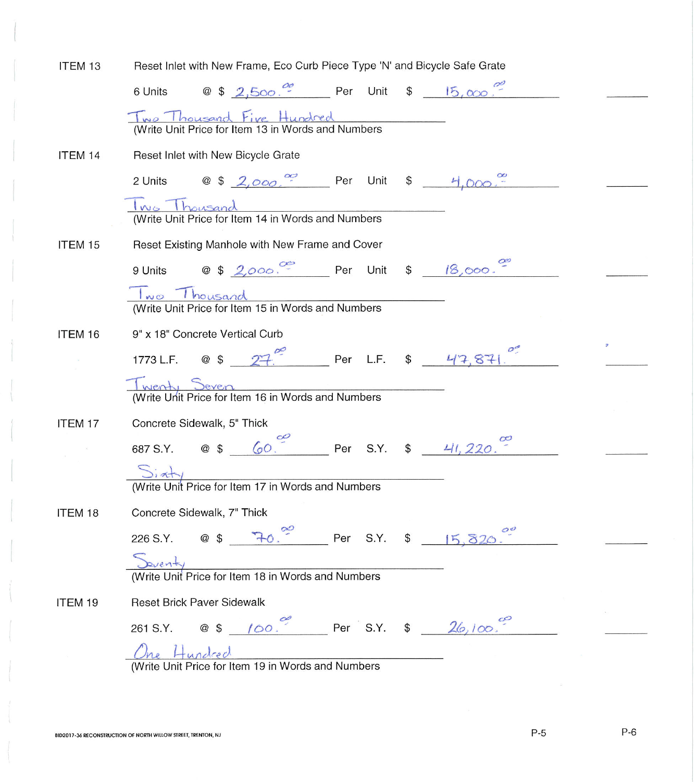| ITEM 13 | Reset Inlet with New Frame, Eco Curb Piece Type 'N' and Bicycle Safe Grate                               |  |
|---------|----------------------------------------------------------------------------------------------------------|--|
|         | 6 Units $\circ$ $\circ$ $\circ$ $\circ$ $\circ$ $\circ$ Per Unit $\circ$ $\circ$ $\circ$ $\circ$ $\circ$ |  |
|         | Two Thousand Five Hundred<br>Write Unit Price for Item 13 in Words and Numbers                           |  |
| ITEM 14 | Reset Inlet with New Bicycle Grate                                                                       |  |
|         | 2 Units @ \$ 2,000 Per Unit \$ 4,000.                                                                    |  |
|         | <u>Twee Thousand</u><br>(Write Unit Price for Item 14 in Words and Numbers                               |  |
| ITEM 15 | Reset Existing Manhole with New Frame and Cover                                                          |  |
|         | 9 Units @ \$ 2,000, Per Unit \$ 18,000.                                                                  |  |
|         | <u>Two Thousand</u><br>(Write Unit Price for Item 15 in Words and Numbers                                |  |
| ITEM 16 | 9" x 18" Concrete Vertical Curb                                                                          |  |
|         | 1773 L.F. @ \$ $27$ $\degree$ Per L.F. \$ 47,871 $\degree$                                               |  |
|         | Twenty<br>(Write Unit Price for Item 16 in Words and Numbers                                             |  |
| ITEM 17 | Concrete Sidewalk, 5" Thick                                                                              |  |
|         | 687 S.Y. @ \$ 60. Per S.Y. \$ 41, 220.                                                                   |  |
|         | Si at y<br>(Write Unit Price for Item 17 in Words and Numbers                                            |  |
|         |                                                                                                          |  |
| ITEM 18 | Concrete Sidewalk, 7" Thick                                                                              |  |
|         | $7-0.$ <sup>20</sup> Per S.Y. \$ 15, 820.<br>226 S.Y. @ \$                                               |  |
|         | Deventy<br>(Write Unit Price for Item 18 in Words and Numbers                                            |  |
| ITEM 19 | <b>Reset Brick Paver Sidewalk</b>                                                                        |  |
|         | 261 S.Y. @ \$ $100.$ Per S.Y. \$ $26,100.$                                                               |  |
|         | One Hundred<br>$\frac{C_{Me} + L_{undce} \lambda}{(Write Unit Price for Item 19 in Words and Numbers)}$  |  |